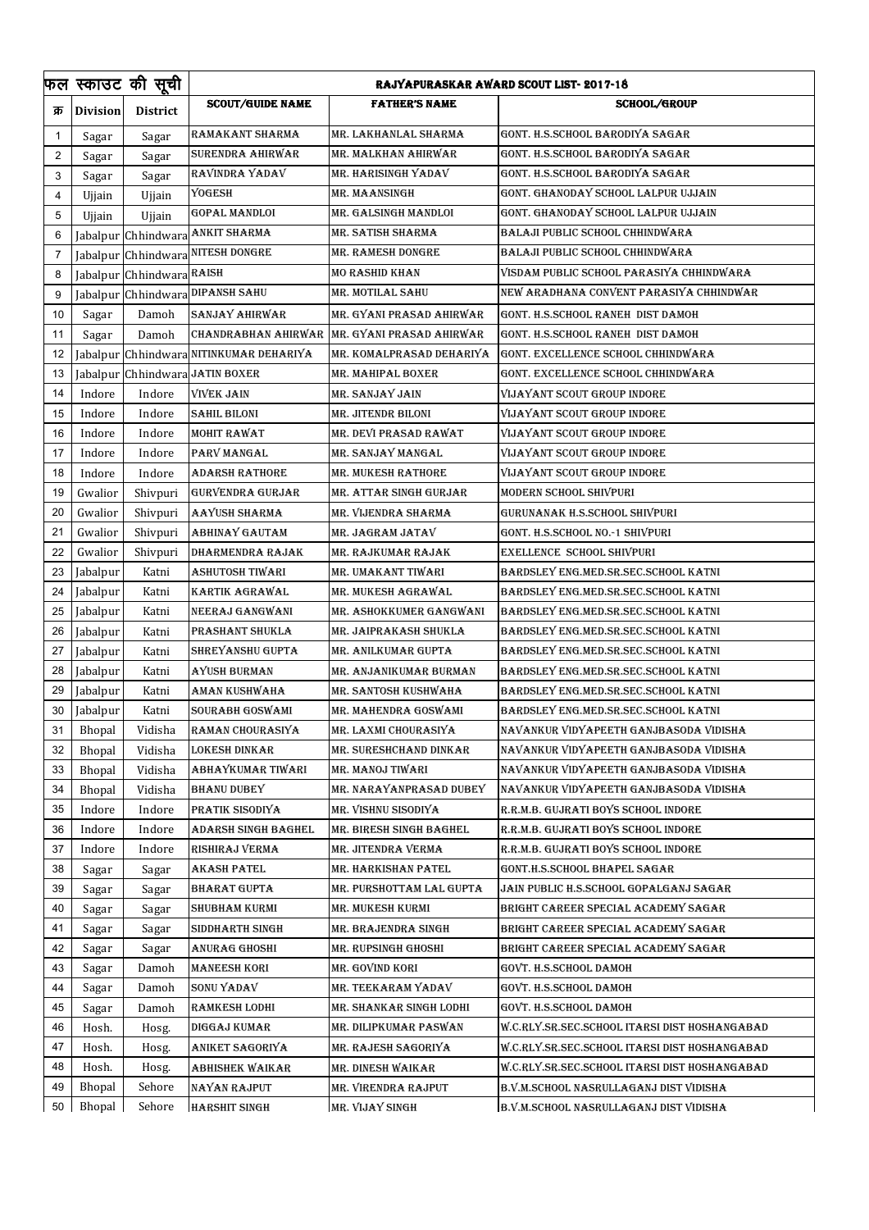|                |                 | फल स्काउट की सूची         | RAJYAPURASKAR AWARD SCOUT LIST- 2017-18 |                          |                                               |  |
|----------------|-----------------|---------------------------|-----------------------------------------|--------------------------|-----------------------------------------------|--|
| क्र            | <b>Division</b> | <b>District</b>           | <b>SCOUT/GUIDE NAME</b>                 | <b>FATHER'S NAME</b>     | <b>SCHOOL/GROUP</b>                           |  |
| -1             | Sagar           | Sagar                     | RAMAKANT SHARMA                         | MR. LAKHANLAL SHARMA     | GONT. H.S.SCHOOL BARODIYA SAGAR               |  |
| $\overline{2}$ | Sagar           | Sagar                     | SURENDRA AHIRWAR                        | MR. MALKHAN AHIRWAR      | GONT. H.S.SCHOOL BARODIYA SAGAR               |  |
| 3              | Sagar           | Sagar                     | RAVINDRA YADAV                          | MR. HARISINGH YADAV      | GONT. H.S.SCHOOL BARODIYA SAGAR               |  |
| 4              | Ujjain          | Ujjain                    | YOGESH                                  | MR. MAANSINGH            | GONT. GHANODAY SCHOOL LALPUR UJJAIN           |  |
| 5              | Ujjain          | Ujjain                    | GOPAL MANDLOI                           | MR. GALSINGH MANDLOI     | GONT. GHANODAY SCHOOL LALPUR UJJAIN           |  |
| 6              |                 |                           | Jabalpur Chhindwara ANKIT SHARMA        | MR. SATISH SHARMA        | BALAJI PUBLIC SCHOOL CHHINDWARA               |  |
| 7              |                 |                           | Jabalpur Chhindwara NITESH DONGRE       | MR. RAMESH DONGRE        | BALAJI PUBLIC SCHOOL CHHINDWARA               |  |
| 8              |                 | Jabalpur Chhindwara RAISH |                                         | MO RASHID KHAN           | VISDAM PUBLIC SCHOOL PARASIYA CHHINDWARA      |  |
| 9              |                 |                           | Jabalpur Chhindwara DIPANSH SAHU        | MR. MOTILAL SAHU         | NEW ARADHANA CONVENT PARASIYA CHHINDWAR       |  |
| 10             | Sagar           | Damoh                     | SANJAY AHIRWAR                          | MR. GYANI PRASAD AHIRWAR | GONT. H.S.SCHOOL RANEH DIST DAMOH             |  |
| 11             | Sagar           | Damoh                     | CHANDRABHAN AHIRWAR                     | MR. GYANI PRASAD AHIRWAR | GONT. H.S.SCHOOL RANEH DIST DAMOH             |  |
| 12             | Jabalpur        |                           | Chhindwara NITINKUMAR DEHARIYA          | MR. KOMALPRASAD DEHARIYA | GONT. EXCELLENCE SCHOOL CHHINDWARA            |  |
| 13             |                 |                           | Jabalpur Chhindwara JATIN BOXER         | MR. MAHIPAL BOXER        | GONT. EXCELLENCE SCHOOL CHHINDWARA            |  |
| 14             | Indore          | Indore                    | <b>VIVEK JAIN</b>                       | MR. SANJAY JAIN          | <b>VIJAYANT SCOUT GROUP INDORE</b>            |  |
| 15             | Indore          | Indore                    | SAHIL BILONI                            | MR. JITENDR BILONI       | VIJAYANT SCOUT GROUP INDORE                   |  |
| 16             | Indore          | Indore                    | MOHIT RAWAT                             | MR. DEVI PRASAD RAWAT    | VIJAYANT SCOUT GROUP INDORE                   |  |
| 17             | Indore          | Indore                    | PARV MANGAL                             | MR. SANJAY MANGAL        | <b>VIJAYANT SCOUT GROUP INDORE</b>            |  |
| 18             | Indore          | Indore                    | ADARSH RATHORE                          | MR. MUKESH RATHORE       | VIJAYANT SCOUT GROUP INDORE                   |  |
| 19             | Gwalior         | Shivpuri                  | GURVENDRA GURJAR                        | MR. ATTAR SINGH GURJAR   | MODERN SCHOOL SHIVPURI                        |  |
| 20             | Gwalior         | Shivpuri                  | AAYUSH SHARMA                           | MR. VIJENDRA SHARMA      | GURUNANAK H.S.SCHOOL SHIVPURI                 |  |
| 21             | Gwalior         | Shivpuri                  | ABHINAY GAUTAM                          | MR. JAGRAM JATAV         | GONT. H.S.SCHOOL NO.-1 SHIVPURI               |  |
| 22             | Gwalior         | Shivpuri                  | DHARMENDRA RAJAK                        | MR. RAJKUMAR RAJAK       | EXELLENCE SCHOOL SHIVPURI                     |  |
| 23             | Jabalpur        | Katni                     | ASHUTOSH TIWARI                         | MR. UMAKANT TIWARI       | BARDSLEY ENG.MED.SR.SEC.SCHOOL KATNI          |  |
| 24             | Jabalpur        | Katni                     | KARTIK AGRAWAL                          | MR. MUKESH AGRAWAL       | BARDSLEY ENG.MED.SR.SEC.SCHOOL KATNI          |  |
| 25             | Jabalpur        | Katni                     | NEERAJ GANGWANI                         | MR. ASHOKKUMER GANGWANI  | BARDSLEY ENG.MED.SR.SEC.SCHOOL KATNI          |  |
| 26             | Jabalpur        | Katni                     | PRASHANT SHUKLA                         | MR. JAIPRAKASH SHUKLA    | BARDSLEY ENG.MED.SR.SEC.SCHOOL KATNI          |  |
| 27             |                 | Katni                     | SHREYANSHU GUPTA                        | MR. ANILKUMAR GUPTA      | BARDSLEY ENG.MED.SR.SEC.SCHOOL KATNI          |  |
| 28             | Jabalpur        |                           | AYUSH BURMAN                            | MR. ANJANIKUMAR BURMAN   | BARDSLEY ENG.MED.SR.SEC.SCHOOL KATNI          |  |
|                | Jabalpur        | Katni                     |                                         |                          | BARDSLEY ENG.MED.SR.SEC.SCHOOL KATNI          |  |
| 29             | Jabalpur        | Katni                     | AMAN KUSHWAHA                           | MR. SANTOSH KUSHWAHA     |                                               |  |
| 30             | Jabalpur        | Katni                     | SOURABH GOSWAMI                         | MR. MAHENDRA GOSWAMI     | BARDSLEY ENG.MED.SR.SEC.SCHOOL KATNI          |  |
| 31             | Bhopal          | Vidisha                   | RAMAN CHOURASIYA                        | MR. LAXMI CHOURASIYA     | NAVANKUR VIDYAPEETH GANJBASODA VIDISHA        |  |
| 32             | Bhopal          | Vidisha                   | LOKESH DINKAR                           | MR. SURESHCHAND DINKAR   | NAVANKUR VIDYAPEETH GANJBASODA VIDISHA        |  |
| 33             | Bhopal          | Vidisha                   | ABHAYKUMAR TIWARI                       | MR. MANOJ TIWARI         | NAVANKUR VIDYAPEETH GANJBASODA VIDISHA        |  |
| 34             | <b>Bhopal</b>   | Vidisha                   | BHANU DUBEY                             | MR. NARAYANPRASAD DUBEY  | NAVANKUR VIDYAPEETH GANJBASODA VIDISHA        |  |
| 35             | Indore          | Indore                    | PRATIK SISODIYA                         | MR. VISHNU SISODIYA      | R.R.M.B. GUJRATI BOYS SCHOOL INDORE           |  |
| 36             | Indore          | Indore                    | ADARSH SINGH BAGHEL                     | MR. BIRESH SINGH BAGHEL  | R.R.M.B. GUJRATI BOYS SCHOOL INDORE           |  |
| 37             | Indore          | Indore                    | RISHIRAJ VERMA                          | MR. JITENDRA VERMA       | R.R.M.B. GUJRATI BOYS SCHOOL INDORE           |  |
| 38             | Sagar           | Sagar                     | AKASH PATEL                             | MR. HARKISHAN PATEL      | GONT.H.S.SCHOOL BHAPEL SAGAR                  |  |
| 39             | Sagar           | Sagar                     | BHARAT GUPTA                            | MR. PURSHOTTAM LAL GUPTA | JAIN PUBLIC H.S.SCHOOL GOPALGANJ SAGAR        |  |
| 40             | Sagar           | Sagar                     | SHUBHAM KURMI                           | MR. MUKESH KURMI         | BRIGHT CAREER SPECIAL ACADEMY SAGAR           |  |
| 41             | Sagar           | Sagar                     | SIDDHARTH SINGH                         | MR. BRAJENDRA SINGH      | BRIGHT CAREER SPECIAL ACADEMY SAGAR           |  |
| 42             | Sagar           | Sagar                     | ANURAG GHOSHI                           | MR. RUPSINGH GHOSHI      | BRIGHT CAREER SPECIAL ACADEMY SAGAR           |  |
| 43             | Sagar           | Damoh                     | MANEESH KORI                            | MR. GOVIND KORI          | GOVT. H.S.SCHOOL DAMOH                        |  |
| 44             | Sagar           | Damoh                     | SONU YADAV                              | MR. TEEKARAM YADAV       | GOVT. H.S.SCHOOL DAMOH                        |  |
| 45             | Sagar           | Damoh                     | RAMKESH LODHI                           | MR. SHANKAR SINGH LODHI  | GOVT. H.S.SCHOOL DAMOH                        |  |
| 46             | Hosh.           | Hosg.                     | DIGGAJ KUMAR                            | MR. DILIPKUMAR PASWAN    | W.C.RLY.SR.SEC.SCHOOL ITARSI DIST HOSHANGABAD |  |
| 47             | Hosh.           | Hosg.                     | ANIKET SAGORIYA                         | MR. RAJESH SAGORIYA      | W.C.RLY.SR.SEC.SCHOOL ITARSI DIST HOSHANGABAD |  |
| 48             | Hosh.           | Hosg.                     | ABHISHEK WAIKAR                         | MR. DINESH WAIKAR        | W.C.RLY.SR.SEC.SCHOOL ITARSI DIST HOSHANGABAD |  |
| 49             | <b>Bhopal</b>   | Sehore                    | NAYAN RAJPUT                            | MR. VIRENDRA RAJPUT      | B.V.M.SCHOOL NASRULLAGANJ DIST VIDISHA        |  |
| 50             | Bhopal          | Sehore                    | <b>HARSHIT SINGH</b>                    | MR. VIJAY SINGH          | B.V.M.SCHOOL NASRULLAGANJ DIST VIDISHA        |  |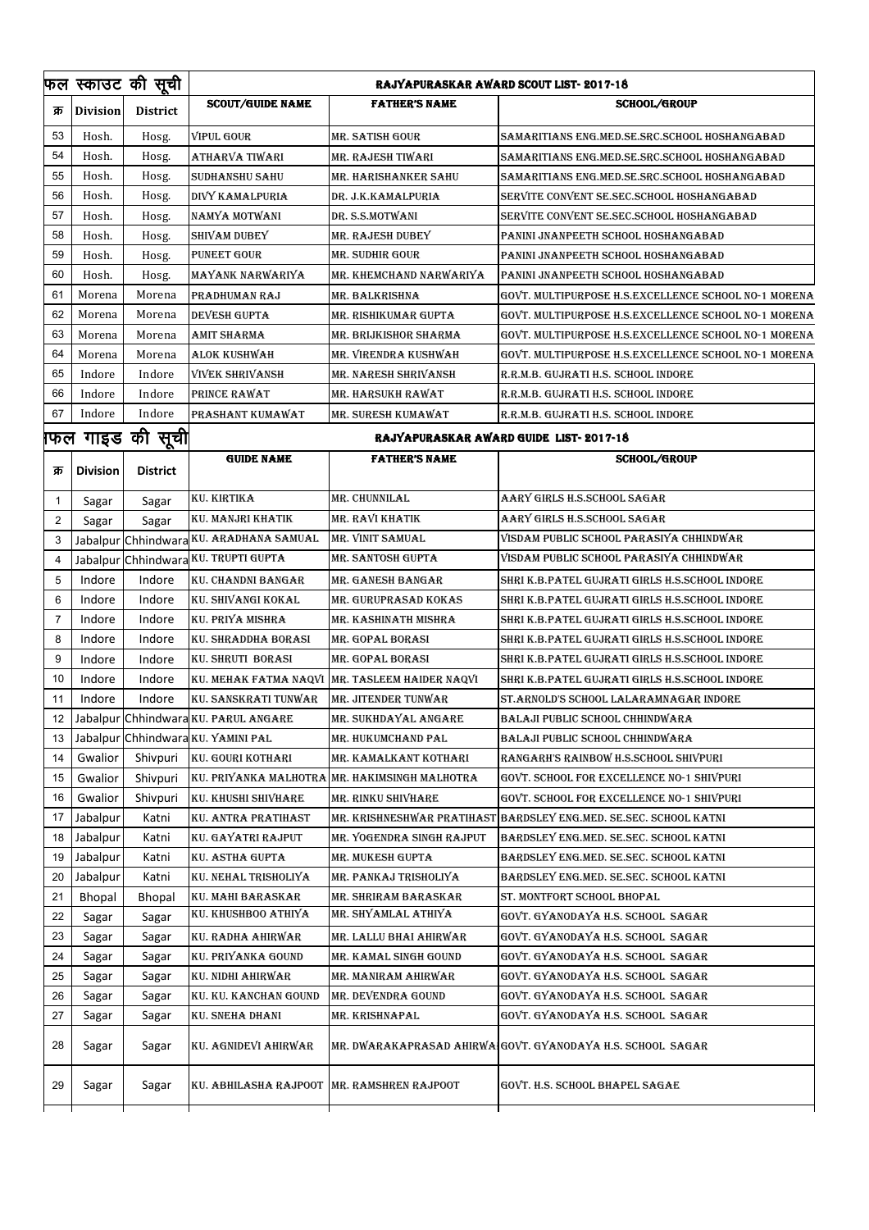|                |                 | फल स्काउट की सूची               | <b>RAJYAPURASKAR AWARD SCOUT LIST- 2017-18</b> |                                               |                                                            |  |
|----------------|-----------------|---------------------------------|------------------------------------------------|-----------------------------------------------|------------------------------------------------------------|--|
| क्र            | <b>Division</b> | <b>District</b>                 | <b>SCOUT/GUIDE NAME</b>                        | <b>FATHER'S NAME</b>                          | <b>SCHOOL/GROUP</b>                                        |  |
| 53             | Hosh.           | Hosg.                           | <b>VIPUL GOUR</b>                              | MR. SATISH GOUR                               | SAMARITIANS ENG.MED.SE.SRC.SCHOOL HOSHANGABAD              |  |
| 54             | Hosh.           | Hosg.                           | ATHARVA TIWARI                                 | MR. RAJESH TIWARI                             | SAMARITIANS ENG.MED.SE.SRC.SCHOOL HOSHANGABAD              |  |
| 55             | Hosh.           | Hosg.                           | <b>SUDHANSHU SAHU</b>                          | MR. HARISHANKER SAHU                          | SAMARITIANS ENG.MED.SE.SRC.SCHOOL HOSHANGABAD              |  |
| 56             | Hosh.           | Hosg.                           | DIVY KAMALPURIA                                | DR. J.K.KAMALPURIA                            | SERVITE CONVENT SE.SEC.SCHOOL HOSHANGABAD                  |  |
| 57             | Hosh.           | Hosg.                           | NAMYA MOTWANI                                  | DR. S.S.MOTWANI                               | SERVITE CONVENT SE.SEC.SCHOOL HOSHANGABAD                  |  |
| 58             | Hosh.           | Hosg.                           | SHIVAM DUBEY                                   | MR. RAJESH DUBEY                              | PANINI JNANPEETH SCHOOL HOSHANGABAD                        |  |
| 59             | Hosh.           | Hosg.                           | <b>PUNEET GOUR</b>                             | MR. SUDHIR GOUR                               | PANINI JNANPEETH SCHOOL HOSHANGABAD                        |  |
| 60             | Hosh.           | Hosg.                           | MAYANK NARWARIYA                               | MR. KHEMCHAND NARWARIYA                       | PANINI JNANPEETH SCHOOL HOSHANGABAD                        |  |
| 61             | Morena          | Morena                          | PRADHUMAN RAJ                                  | MR. BALKRISHNA                                | GOVT. MULTIPURPOSE H.S.EXCELLENCE SCHOOL NO-1 MORENA       |  |
| 62             | Morena          | Morena                          | <b>DEVESH GUPTA</b>                            | MR. RISHIKUMAR GUPTA                          | GOVT. MULTIPURPOSE H.S.EXCELLENCE SCHOOL NO-1 MORENA       |  |
| 63             | Morena          | Morena                          | AMIT SHARMA                                    | MR. BRIJKISHOR SHARMA                         | GOVT. MULTIPURPOSE H.S.EXCELLENCE SCHOOL NO-1 MORENA       |  |
| 64             | Morena          | Morena                          | <b>ALOK KUSHWAH</b>                            | MR. VIRENDRA KUSHWAH                          | GOVT. MULTIPURPOSE H.S.EXCELLENCE SCHOOL NO-1 MORENA       |  |
| 65             | Indore          | Indore                          | <b>VIVEK SHRIVANSH</b>                         | MR. NARESH SHRIVANSH                          | R.R.M.B. GUJRATI H.S. SCHOOL INDORE                        |  |
| 66             | Indore          | Indore                          | PRINCE RAWAT                                   | MR. HARSUKH RAWAT                             | R.R.M.B. GUJRATI H.S. SCHOOL INDORE                        |  |
| 67             | Indore          | Indore                          | PRASHANT KUMAWAT                               | MR. SURESH KUMAWAT                            | R.R.M.B. GUJRATI H.S. SCHOOL INDORE                        |  |
|                |                 | फिल गाइड की सूची <mark> </mark> |                                                |                                               | RAJYAPURASKAR AWARD GUIDE LIST-2017-18                     |  |
| क्र            | <b>Division</b> | <b>District</b>                 | <b>GUIDE NAME</b>                              | <b>FATHER'S NAME</b>                          | <b>SCHOOL/GROUP</b>                                        |  |
| 1              | Sagar           | Sagar                           | <b>KU. KIRTIKA</b>                             | MR. CHUNNILAL                                 | AARY GIRLS H.S.SCHOOL SAGAR                                |  |
| $\overline{2}$ | Sagar           | Sagar                           | KU. MANJRI KHATIK                              | MR. RAVI KHATIK                               | AARY GIRLS H.S.SCHOOL SAGAR                                |  |
| 3              |                 |                                 | Jabalpur Chhindwara KU. ARADHANA SAMUAL        | MR. VINIT SAMUAL                              | VISDAM PUBLIC SCHOOL PARASIYA CHHINDWAR                    |  |
| 4              |                 |                                 | Jabalpur Chhindwara KU. TRUPTI GUPTA           | MR. SANTOSH GUPTA                             | VISDAM PUBLIC SCHOOL PARASIYA CHHINDWAR                    |  |
| 5              | Indore          | Indore                          | KU. CHANDNI BANGAR                             | MR. GANESH BANGAR                             | SHRI K.B.PATEL GUJRATI GIRLS H.S.SCHOOL INDORE             |  |
| 6              | Indore          | Indore                          | KU. SHIVANGI KOKAL                             | MR. GURUPRASAD KOKAS                          | SHRI K.B.PATEL GUJRATI GIRLS H.S.SCHOOL INDORE             |  |
| 7              | Indore          | Indore                          | <b>KU. PRIYA MISHRA</b>                        | MR. KASHINATH MISHRA                          | SHRI K.B.PATEL GUJRATI GIRLS H.S.SCHOOL INDORE             |  |
| 8              | Indore          | Indore                          | KU. SHRADDHA BORASI                            | MR. GOPAL BORASI                              | SHRI K.B.PATEL GUJRATI GIRLS H.S.SCHOOL INDORE             |  |
| 9              | Indore          | Indore                          | KU. SHRUTI BORASI                              | MR. GOPAL BORASI                              | SHRI K.B.PATEL GUJRATI GIRLS H.S.SCHOOL INDORE             |  |
| 10             | Indore          | Indore                          | KU. MEHAK FATMA NAQVI                          | MR. TASLEEM HAIDER NAQVI                      | SHRI K.B.PATEL GUJRATI GIRLS H.S.SCHOOL INDORE             |  |
| 11             | Indore          | Indore                          | KU. SANSKRATI TUNWAR                           | <b>MR. JITENDER TUNWAR</b>                    | ST.ARNOLD'S SCHOOL LALARAMNAGAR INDORE                     |  |
| 12             |                 |                                 | Jabalpur Chhindwara KU. PARUL ANGARE           | MR. SUKHDAYAL ANGARE                          | BALAJI PUBLIC SCHOOL CHHINDWARA                            |  |
| 13             |                 |                                 | Jabalpur Chhindwara KU. YAMINI PAL             | MR. HUKUMCHAND PAL                            | BALAJI PUBLIC SCHOOL CHHINDWARA                            |  |
| 14             | Gwalior         | Shivpuri                        | <b>KU. GOURI KOTHARI</b>                       | MR. KAMALKANT KOTHARI                         | RANGARH'S RAINBOW H.S.SCHOOL SHIVPURI                      |  |
| 15             | Gwalior         | Shivpuri                        |                                                | KU. PRIYANKA MALHOTRA MR. HAKIMSINGH MALHOTRA | GOVT. SCHOOL FOR EXCELLENCE NO-1 SHIVPURI                  |  |
| 16             | Gwalior         | Shivpuri                        | KU. KHUSHI SHIVHARE                            | MR. RINKU SHIVHARE                            | GOVT. SCHOOL FOR EXCELLENCE NO-1 SHIVPURI                  |  |
| 17             | Jabalpur        | Katni                           | KU. ANTRA PRATIHAST                            | MR. KRISHNESHWAR PRATIHAS'                    | BARDSLEY ENG.MED. SE.SEC. SCHOOL KATNI                     |  |
| 18             | Jabalpur        | Katni                           | KU. GAYATRI RAJPUT                             | MR. YOGENDRA SINGH RAJPUT                     | BARDSLEY ENG.MED. SE.SEC. SCHOOL KATNI                     |  |
| 19             | Jabalpur        | Katni                           | <b>KU. ASTHA GUPTA</b>                         | <b>MR. MUKESH GUPTA</b>                       | BARDSLEY ENG.MED. SE.SEC. SCHOOL KATNI                     |  |
| 20             | Jabalpur        | Katni                           | KU. NEHAL TRISHOLIYA                           | MR. PANKAJ TRISHOLIYA                         | BARDSLEY ENG.MED. SE.SEC. SCHOOL KATNI                     |  |
| 21             | <b>Bhopal</b>   | Bhopal                          | KU. MAHI BARASKAR                              | MR. SHRIRAM BARASKAR                          | ST. MONTFORT SCHOOL BHOPAL                                 |  |
| 22             | Sagar           | Sagar                           | KU. KHUSHBOO ATHIYA                            | MR. SHYAMLAL ATHIYA                           | GOVT. GYANODAYA H.S. SCHOOL SAGAR                          |  |
| 23             | Sagar           | Sagar                           | KU. RADHA AHIRWAR                              | MR. LALLU BHAI AHIRWAR                        | GOVT. GYANODAYA H.S. SCHOOL SAGAR                          |  |
| 24             | Sagar           | Sagar                           | KU. PRIYANKA GOUND                             | MR. KAMAL SINGH GOUND                         | GOVT. GYANODAYA H.S. SCHOOL  SAGAR                         |  |
| 25             | Sagar           | Sagar                           | KU. NIDHI AHIRWAR                              | MR. MANIRAM AHIRWAR                           | GOVT. GYANODAYA H.S. SCHOOL SAGAR                          |  |
| 26             | Sagar           | Sagar                           | KU. KU. KANCHAN GOUND                          | MR. DEVENDRA GOUND                            | GOVT. GYANODAYA H.S. SCHOOL SAGAR                          |  |
| 27             | Sagar           | Sagar                           | KU. SNEHA DHANI                                | MR. KRISHNAPAL                                | GOVT. GYANODAYA H.S. SCHOOL SAGAR                          |  |
| 28             | Sagar           | Sagar                           | KU. AGNIDEVI AHIRWAR                           |                                               | MR. DWARAKAPRASAD AHIRWAIGOVT. GYANODAYA H.S. SCHOOL SAGAR |  |
| 29             | Sagar           | Sagar                           | KU. ABHILASHA RAJPOOT MR. RAMSHREN RAJPOOT     |                                               | GOVT. H.S. SCHOOL BHAPEL SAGAE                             |  |
|                |                 |                                 |                                                |                                               |                                                            |  |